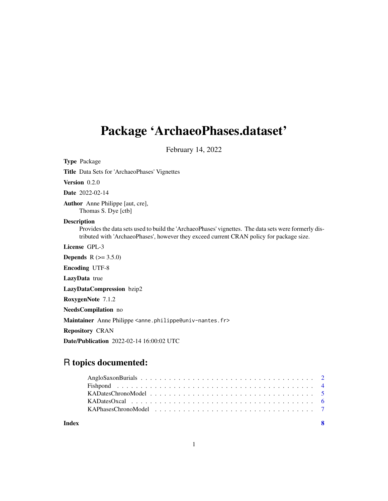## Package 'ArchaeoPhases.dataset'

February 14, 2022

Type Package

Title Data Sets for 'ArchaeoPhases' Vignettes

Version 0.2.0

Date 2022-02-14

Author Anne Philippe [aut, cre], Thomas S. Dye [ctb]

#### Description

Provides the data sets used to build the 'ArchaeoPhases' vignettes. The data sets were formerly distributed with 'ArchaeoPhases', however they exceed current CRAN policy for package size.

License GPL-3

**Depends** R  $(>= 3.5.0)$ Encoding UTF-8 LazyData true LazyDataCompression bzip2 RoxygenNote 7.1.2 NeedsCompilation no Maintainer Anne Philippe <anne.philippe@univ-nantes.fr> Repository CRAN Date/Publication 2022-02-14 16:00:02 UTC

### R topics documented:

**Index** [8](#page-7-0) **8**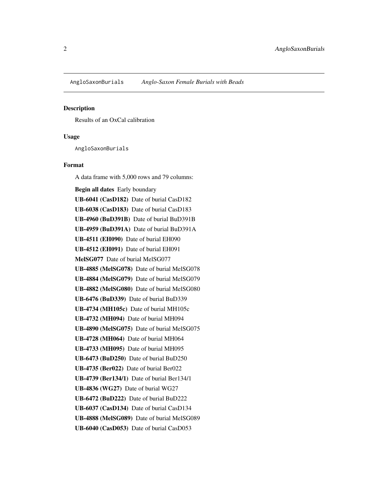#### <span id="page-1-0"></span>Description

Results of an OxCal calibration

#### Usage

AngloSaxonBurials

#### Format

A data frame with 5,000 rows and 79 columns: Begin all dates Early boundary UB-6041 (CasD182) Date of burial CasD182 UB-6038 (CasD183) Date of burial CasD183 UB-4960 (BuD391B) Date of burial BuD391B UB-4959 (BuD391A) Date of burial BuD391A UB-4511 (EH090) Date of burial EH090 UB-4512 (EH091) Date of burial EH091 MelSG077 Date of burial MelSG077 UB-4885 (MelSG078) Date of burial MelSG078 UB-4884 (MelSG079) Date of burial MelSG079 UB-4882 (MelSG080) Date of burial MelSG080 UB-6476 (BuD339) Date of burial BuD339 UB-4734 (MH105c) Date of burial MH105c UB-4732 (MH094) Date of burial MH094 UB-4890 (MelSG075) Date of burial MelSG075 UB-4728 (MH064) Date of burial MH064 UB-4733 (MH095) Date of burial MH095 UB-6473 (BuD250) Date of burial BuD250 UB-4735 (Ber022) Date of burial Ber022 UB-4739 (Ber134/1) Date of burial Ber134/1 UB-4836 (WG27) Date of burial WG27 UB-6472 (BuD222) Date of burial BuD222 UB-6037 (CasD134) Date of burial CasD134 UB-4888 (MelSG089) Date of burial MelSG089 UB-6040 (CasD053) Date of burial CasD053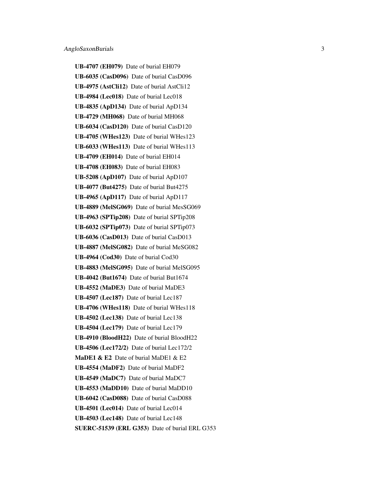UB-4707 (EH079) Date of burial EH079 UB-6035 (CasD096) Date of burial CasD096 UB-4975 (AstCli12) Date of burial AstCli12 UB-4984 (Lec018) Date of burial Lec018 UB-4835 (ApD134) Date of burial ApD134 UB-4729 (MH068) Date of burial MH068 UB-6034 (CasD120) Date of burial CasD120 UB-4705 (WHes123) Date of burial WHes123 UB-6033 (WHes113) Date of burial WHes113 UB-4709 (EH014) Date of burial EH014 UB-4708 (EH083) Date of burial EH083 UB-5208 (ApD107) Date of burial ApD107 UB-4077 (But4275) Date of burial But4275 UB-4965 (ApD117) Date of burial ApD117 UB-4889 (MelSG069) Date of burial MesSG069 UB-4963 (SPTip208) Date of burial SPTip208 UB-6032 (SPTip073) Date of burial SPTip073 UB-6036 (CasD013) Date of burial CasD013 UB-4887 (MelSG082) Date of burial MeSG082 UB-4964 (Cod30) Date of burial Cod30 UB-4883 (MelSG095) Date of burial MelSG095 UB-4042 (But1674) Date of burial But1674 UB-4552 (MaDE3) Date of burial MaDE3 UB-4507 (Lec187) Date of burial Lec187 UB-4706 (WHes118) Date of burial WHes118 UB-4502 (Lec138) Date of burial Lec138 UB-4504 (Lec179) Date of burial Lec179 UB-4910 (BloodH22) Date of burial BloodH22 UB-4506 (Lec172/2) Date of burial Lec172/2 MaDE1 & E2 Date of burial MaDE1 & E2 UB-4554 (MaDF2) Date of burial MaDF2 UB-4549 (MaDC7) Date of burial MaDC7 UB-4553 (MaDD10) Date of burial MaDD10 UB-6042 (CasD088) Date of burial CasD088 UB-4501 (Lec014) Date of burial Lec014 UB-4503 (Lec148) Date of burial Lec148 SUERC-51539 (ERL G353) Date of burial ERL G353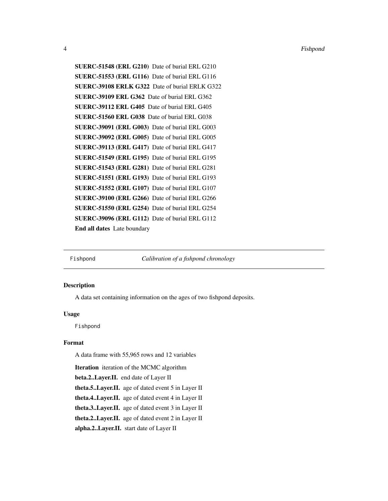SUERC-51548 (ERL G210) Date of burial ERL G210 SUERC-51553 (ERL G116) Date of burial ERL G116 SUERC-39108 ERLK G322 Date of burial ERLK G322 SUERC-39109 ERL G362 Date of burial ERL G362 SUERC-39112 ERL G405 Date of burial ERL G405 SUERC-51560 ERL G038 Date of burial ERL G038 SUERC-39091 (ERL G003) Date of burial ERL G003 SUERC-39092 (ERL G005) Date of burial ERL G005 SUERC-39113 (ERL G417) Date of burial ERL G417 SUERC-51549 (ERL G195) Date of burial ERL G195 SUERC-51543 (ERL G281) Date of burial ERL G281 SUERC-51551 (ERL G193) Date of burial ERL G193 SUERC-51552 (ERL G107) Date of burial ERL G107 SUERC-39100 (ERL G266) Date of burial ERL G266 SUERC-51550 (ERL G254) Date of burial ERL G254 SUERC-39096 (ERL G112) Date of burial ERL G112 End all dates Late boundary

Fishpond *Calibration of a fishpond chronology*

#### **Description**

A data set containing information on the ages of two fishpond deposits.

#### Usage

Fishpond

#### Format

A data frame with 55,965 rows and 12 variables

Iteration iteration of the MCMC algorithm

beta.2..Layer.II. end date of Layer II

theta.5..Layer.II. age of dated event 5 in Layer II

theta.4..Layer.II. age of dated event 4 in Layer II

theta.3..Layer.II. age of dated event 3 in Layer II

theta.2..Layer.II. age of dated event 2 in Layer II

alpha.2..Layer.II. start date of Layer II

<span id="page-3-0"></span>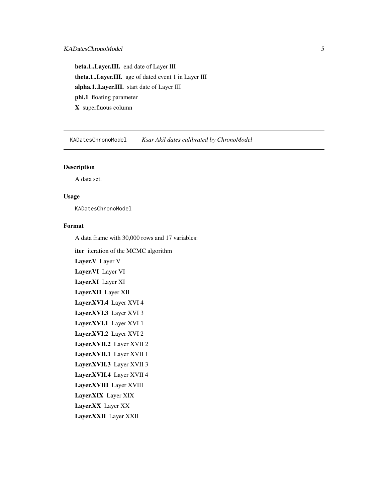<span id="page-4-0"></span>beta.1..Layer.III. end date of Layer III theta.1..Layer.III. age of dated event 1 in Layer III alpha.1..Layer.III. start date of Layer III phi.1 floating parameter X superfluous column

KADatesChronoModel *Ksar Akil dates calibrated by ChronoModel*

#### Description

A data set.

#### Usage

KADatesChronoModel

#### Format

A data frame with 30,000 rows and 17 variables:

iter iteration of the MCMC algorithm Layer.V Layer V Layer.VI Layer VI Layer.XI Layer XI Layer.XII Layer XII Layer.XVI.4 Layer XVI 4 Layer.XVI.3 Layer XVI 3 Layer.XVI.1 Layer XVI 1 Layer.XVI.2 Layer XVI 2 Layer.XVII.2 Layer XVII 2 Layer.XVII.1 Layer XVII 1 Layer.XVII.3 Layer XVII 3 Layer.XVII.4 Layer XVII 4 Layer.XVIII Layer XVIII Layer.XIX Layer XIX Layer.XX Layer XX Layer.XXII Layer XXII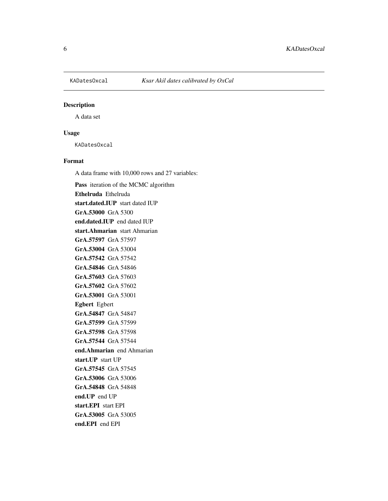<span id="page-5-0"></span>

#### Description

A data set

#### Usage

KADatesOxcal

#### Format

A data frame with 10,000 rows and 27 variables:

Pass iteration of the MCMC algorithm Ethelruda Ethelruda start.dated.IUP start dated IUP GrA.53000 GrA 5300 end.dated.IUP end dated IUP start.Ahmarian start Ahmarian GrA.57597 GrA 57597 GrA.53004 GrA 53004 GrA.57542 GrA 57542 GrA.54846 GrA 54846 GrA.57603 GrA 57603 GrA.57602 GrA 57602 GrA.53001 GrA 53001 Egbert Egbert GrA.54847 GrA 54847 GrA.57599 GrA 57599 GrA.57598 GrA 57598 GrA.57544 GrA 57544 end.Ahmarian end Ahmarian start.UP start UP GrA.57545 GrA 57545 GrA.53006 GrA 53006 GrA.54848 GrA 54848 end.UP end UP start.EPI start EPI GrA.53005 GrA 53005 end.EPI end EPI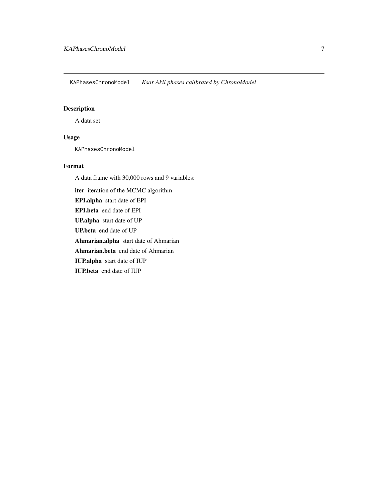<span id="page-6-0"></span>KAPhasesChronoModel *Ksar Akil phases calibrated by ChronoModel*

#### Description

A data set

#### Usage

KAPhasesChronoModel

#### Format

A data frame with 30,000 rows and 9 variables:

iter iteration of the MCMC algorithm EPI.alpha start date of EPI EPI.beta end date of EPI UP.alpha start date of UP UP.beta end date of UP Ahmarian.alpha start date of Ahmarian Ahmarian.beta end date of Ahmarian IUP.alpha start date of IUP IUP.beta end date of IUP